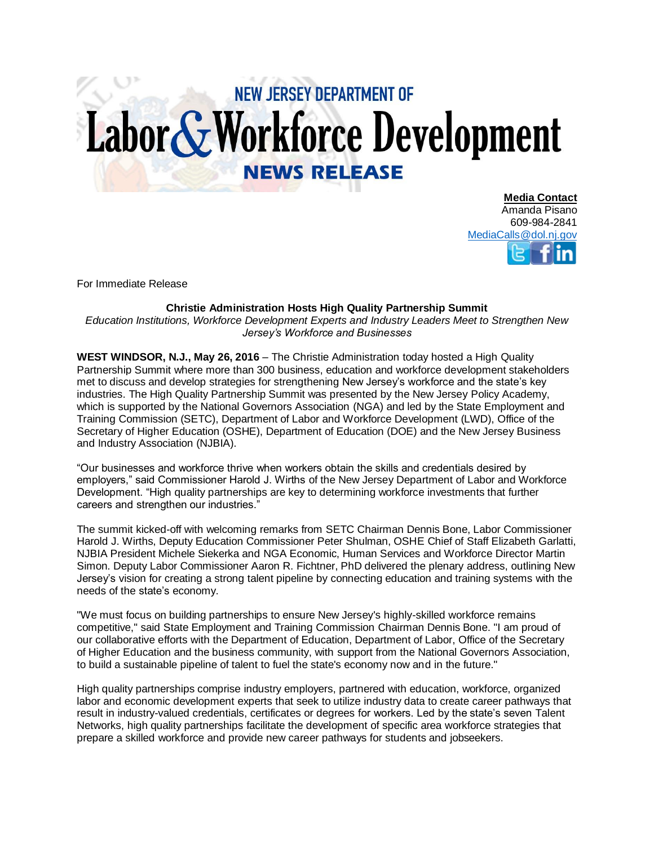## **NEW JERSEY DEPARTMENT OF** Labor & Workforce Development **NEWS RELEASE**

**Media Contact** Amanda Pisano 609-984-2841 [MediaCalls@dol.nj.gov](mailto:MediaCalls@dol.nj.gov)

For Immediate Release

## **Christie Administration Hosts High Quality Partnership Summit**

*Education Institutions, Workforce Development Experts and Industry Leaders Meet to Strengthen New Jersey's Workforce and Businesses*

**WEST WINDSOR, N.J., May 26, 2016** – The Christie Administration today hosted a High Quality Partnership Summit where more than 300 business, education and workforce development stakeholders met to discuss and develop strategies for strengthening New Jersey's workforce and the state's key industries. The High Quality Partnership Summit was presented by the New Jersey Policy Academy, which is supported by the National Governors Association (NGA) and led by the State Employment and Training Commission (SETC), Department of Labor and Workforce Development (LWD), Office of the Secretary of Higher Education (OSHE), Department of Education (DOE) and the New Jersey Business and Industry Association (NJBIA).

"Our businesses and workforce thrive when workers obtain the skills and credentials desired by employers," said Commissioner Harold J. Wirths of the New Jersey Department of Labor and Workforce Development. "High quality partnerships are key to determining workforce investments that further careers and strengthen our industries."

The summit kicked-off with welcoming remarks from SETC Chairman Dennis Bone, Labor Commissioner Harold J. Wirths, Deputy Education Commissioner Peter Shulman, OSHE Chief of Staff Elizabeth Garlatti, NJBIA President Michele Siekerka and NGA Economic, Human Services and Workforce Director Martin Simon. Deputy Labor Commissioner Aaron R. Fichtner, PhD delivered the plenary address, outlining New Jersey's vision for creating a strong talent pipeline by connecting education and training systems with the needs of the state's economy.

"We must focus on building partnerships to ensure New Jersey's highly-skilled workforce remains competitive," said State Employment and Training Commission Chairman Dennis Bone. "I am proud of our collaborative efforts with the Department of Education, Department of Labor, Office of the Secretary of Higher Education and the business community, with support from the National Governors Association, to build a sustainable pipeline of talent to fuel the state's economy now and in the future."

High quality partnerships comprise industry employers, partnered with education, workforce, organized labor and economic development experts that seek to utilize industry data to create career pathways that result in industry-valued credentials, certificates or degrees for workers. Led by the state's seven Talent Networks, high quality partnerships facilitate the development of specific area workforce strategies that prepare a skilled workforce and provide new career pathways for students and jobseekers.